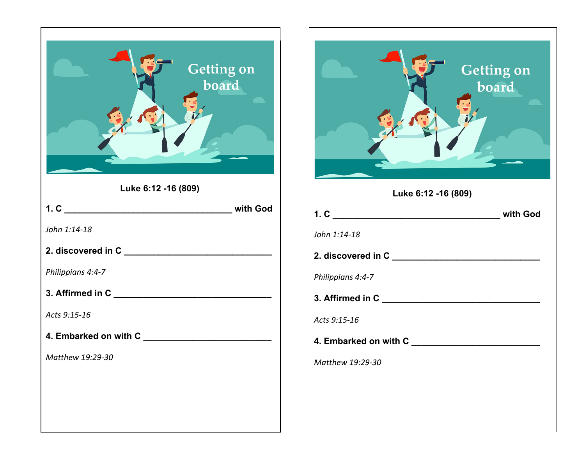

| Getting on<br>board |
|---------------------|
| Luke 6:12 -16 (809) |
|                     |
| John 1:14-18        |
|                     |
| Philippians 4:4-7   |
|                     |
| Acts 9:15-16        |
|                     |
| Matthew 19:29-30    |
|                     |
|                     |
|                     |